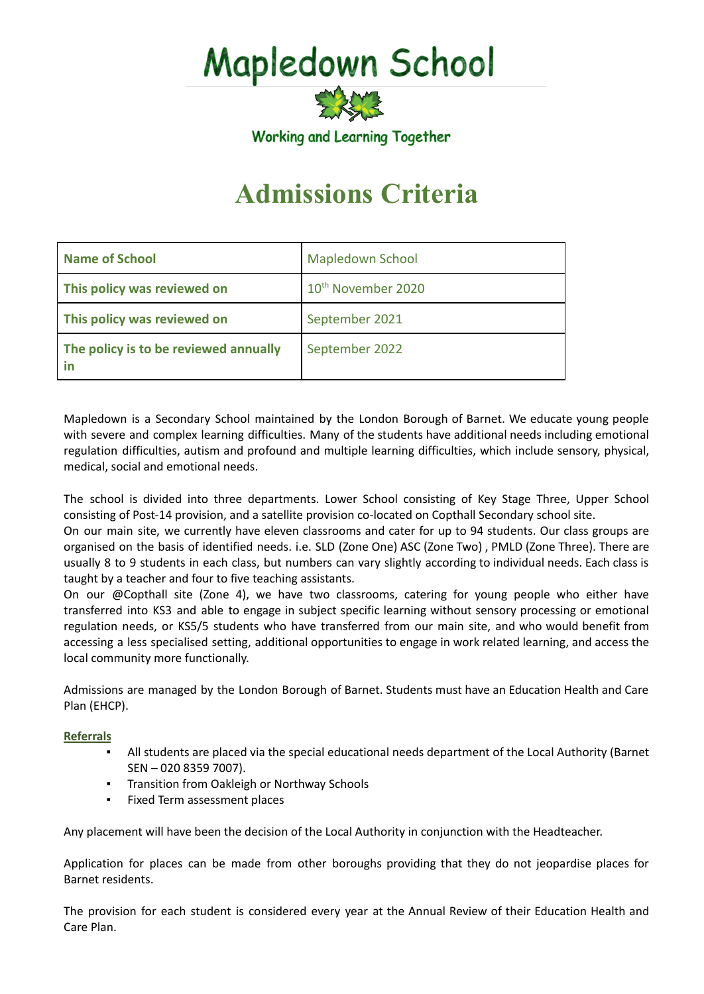# Mapledown School

Working and Learning Together

# **Admissions Criteria**

| <b>Name of School</b>                 | <b>Mapledown School</b>        |
|---------------------------------------|--------------------------------|
| This policy was reviewed on           | 10 <sup>th</sup> November 2020 |
| This policy was reviewed on           | September 2021                 |
| The policy is to be reviewed annually | September 2022                 |

Mapledown is a Secondary School maintained by the London Borough of Barnet. We educate young people with severe and complex learning difficulties. Many of the students have additional needs including emotional regulation difficulties, autism and profound and multiple learning difficulties, which include sensory, physical, medical, social and emotional needs.

The school is divided into three departments. Lower School consisting of Key Stage Three, Upper School consisting of Post-14 provision, and a satellite provision co-located on Copthall Secondary school site.

On our main site, we currently have eleven classrooms and cater for up to 94 students. Our class groups are organised on the basis of identified needs. i.e. SLD (Zone One) ASC (Zone Two) , PMLD (Zone Three). There are usually 8 to 9 students in each class, but numbers can vary slightly according to individual needs. Each class is taught by a teacher and four to five teaching assistants.

On our @Copthall site (Zone 4), we have two classrooms, catering for young people who either have transferred into KS3 and able to engage in subject specific learning without sensory processing or emotional regulation needs, or KS5/5 students who have transferred from our main site, and who would benefit from accessing a less specialised setting, additional opportunities to engage in work related learning, and access the local community more functionally.

Admissions are managed by the London Borough of Barnet. Students must have an Education Health and Care Plan (EHCP).

# **Referrals**

- All students are placed via the special educational needs department of the Local Authority (Barnet SEN – 020 8359 7007).
- **Transition from Oakleigh or Northway Schools**
- Fixed Term assessment places

Any placement will have been the decision of the Local Authority in conjunction with the Headteacher.

Application for places can be made from other boroughs providing that they do not jeopardise places for Barnet residents.

The provision for each student is considered every year at the Annual Review of their Education Health and Care Plan.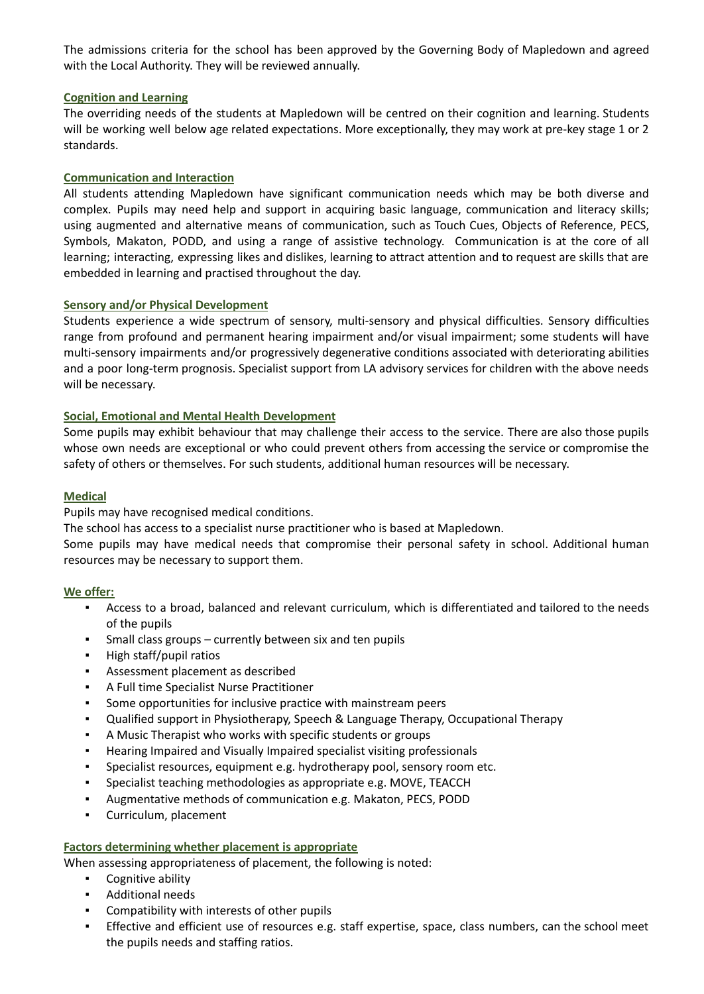The admissions criteria for the school has been approved by the Governing Body of Mapledown and agreed with the Local Authority. They will be reviewed annually.

#### **Cognition and Learning**

The overriding needs of the students at Mapledown will be centred on their cognition and learning. Students will be working well below age related expectations. More exceptionally, they may work at pre-key stage 1 or 2 standards.

# **Communication and Interaction**

All students attending Mapledown have significant communication needs which may be both diverse and complex. Pupils may need help and support in acquiring basic language, communication and literacy skills; using augmented and alternative means of communication, such as Touch Cues, Objects of Reference, PECS, Symbols, Makaton, PODD, and using a range of assistive technology. Communication is at the core of all learning; interacting, expressing likes and dislikes, learning to attract attention and to request are skills that are embedded in learning and practised throughout the day.

# **Sensory and/or Physical Development**

Students experience a wide spectrum of sensory, multi-sensory and physical difficulties. Sensory difficulties range from profound and permanent hearing impairment and/or visual impairment; some students will have multi-sensory impairments and/or progressively degenerative conditions associated with deteriorating abilities and a poor long-term prognosis. Specialist support from LA advisory services for children with the above needs will be necessary.

# **Social, Emotional and Mental Health Development**

Some pupils may exhibit behaviour that may challenge their access to the service. There are also those pupils whose own needs are exceptional or who could prevent others from accessing the service or compromise the safety of others or themselves. For such students, additional human resources will be necessary.

# **Medical**

Pupils may have recognised medical conditions.

The school has access to a specialist nurse practitioner who is based at Mapledown.

Some pupils may have medical needs that compromise their personal safety in school. Additional human resources may be necessary to support them.

#### **We offer:**

- Access to a broad, balanced and relevant curriculum, which is differentiated and tailored to the needs of the pupils
- Small class groups currently between six and ten pupils
- High staff/pupil ratios
- Assessment placement as described
- A Full time Specialist Nurse Practitioner
- Some opportunities for inclusive practice with mainstream peers
- Qualified support in Physiotherapy, Speech & Language Therapy, Occupational Therapy
- A Music Therapist who works with specific students or groups
- Hearing Impaired and Visually Impaired specialist visiting professionals
- Specialist resources, equipment e.g. hydrotherapy pool, sensory room etc.
- Specialist teaching methodologies as appropriate e.g. MOVE, TEACCH
- Augmentative methods of communication e.g. Makaton, PECS, PODD
- Curriculum, placement

#### **Factors determining whether placement is appropriate**

When assessing appropriateness of placement, the following is noted:

- Cognitive ability
- Additional needs
- Compatibility with interests of other pupils
- Effective and efficient use of resources e.g. staff expertise, space, class numbers, can the school meet the pupils needs and staffing ratios.